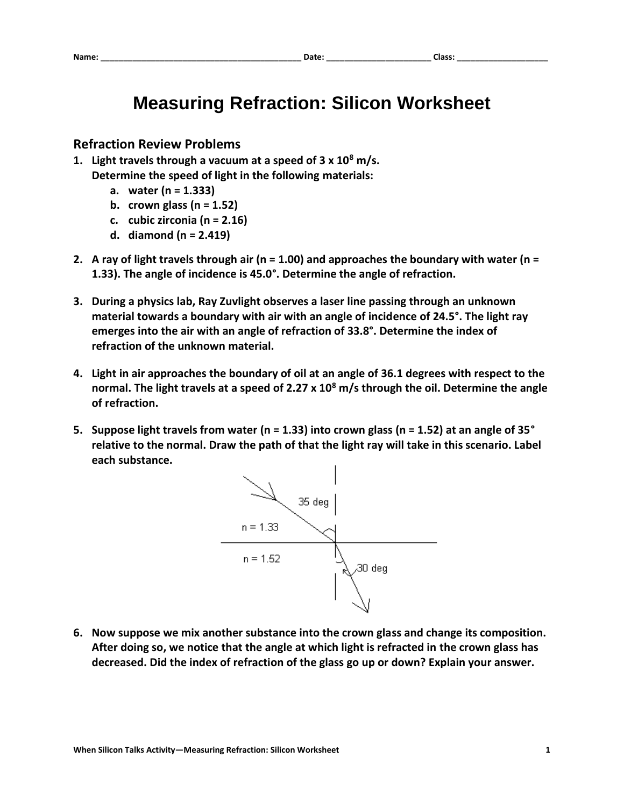## **Measuring Refraction: Silicon Worksheet**

## **Refraction Review Problems**

- **1. Light travels through a vacuum at a speed of 3 x 10<sup>8</sup> m/s. Determine the speed of light in the following materials:**
	- **a. water (n = 1.333)**
	- **b. crown glass (n = 1.52)**
	- **c. cubic zirconia (n = 2.16)**
	- **d. diamond (n = 2.419)**
- **2. A ray of light travels through air (n = 1.00) and approaches the boundary with water (n = 1.33). The angle of incidence is 45.0°. Determine the angle of refraction.**
- **3. During a physics lab, Ray Zuvlight observes a laser line passing through an unknown material towards a boundary with air with an angle of incidence of 24.5°. The light ray emerges into the air with an angle of refraction of 33.8°. Determine the index of refraction of the unknown material.**
- **4. Light in air approaches the boundary of oil at an angle of 36.1 degrees with respect to the normal. The light travels at a speed of 2.27 x 10<sup>8</sup> m/s through the oil. Determine the angle of refraction.**
- **5. Suppose light travels from water (n = 1.33) into crown glass (n = 1.52) at an angle of 35° relative to the normal. Draw the path of that the light ray will take in this scenario. Label each substance.**



**6. Now suppose we mix another substance into the crown glass and change its composition. After doing so, we notice that the angle at which light is refracted in the crown glass has decreased. Did the index of refraction of the glass go up or down? Explain your answer.**